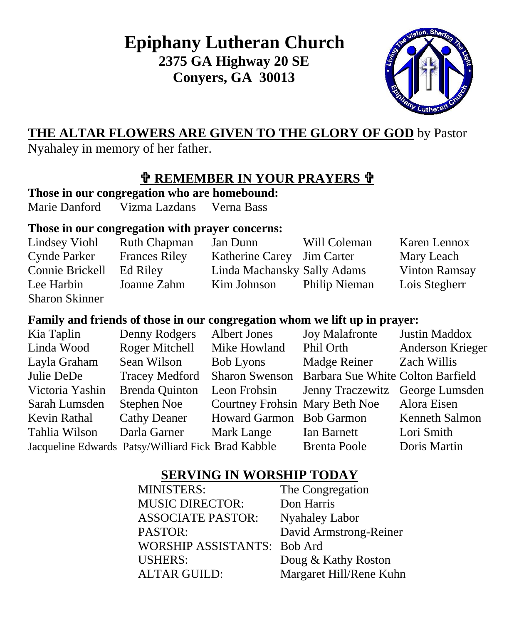**Epiphany Lutheran Church 2375 GA Highway 20 SE Conyers, GA 30013**



## **THE ALTAR FLOWERS ARE GIVEN TO THE GLORY OF GOD** by Pastor

Nyahaley in memory of her father.

## **REMEMBER IN YOUR PRAYERS**

**Those in our congregation who are homebound:**

Marie Danford Vizma Lazdans Verna Bass

#### **Those in our congregation with prayer concerns:**

| Lindsey Viohl         | <b>Ruth Chapman</b>  | Jan Dunn                    | Will Coleman  | Karen Lennox         |
|-----------------------|----------------------|-----------------------------|---------------|----------------------|
| <b>Cynde Parker</b>   | <b>Frances Riley</b> | Katherine Carey Jim Carter  |               | Mary Leach           |
| Connie Brickell       | Ed Riley             | Linda Machansky Sally Adams |               | <b>Vinton Ramsay</b> |
| Lee Harbin            | Joanne Zahm          | Kim Johnson                 | Philip Nieman | Lois Stegherr        |
| <b>Sharon Skinner</b> |                      |                             |               |                      |

### **Family and friends of those in our congregation whom we lift up in prayer:**

| Kia Taplin      | Denny Rodgers                                      | <b>Albert Jones</b>            | <b>Joy Malafronte</b>             | Justin Maddox    |
|-----------------|----------------------------------------------------|--------------------------------|-----------------------------------|------------------|
| Linda Wood      | Roger Mitchell                                     | Mike Howland                   | Phil Orth                         | Anderson Krieger |
| Layla Graham    | Sean Wilson                                        | <b>Bob Lyons</b>               | Madge Reiner                      | Zach Willis      |
| Julie DeDe      | <b>Tracey Medford</b>                              | <b>Sharon Swenson</b>          | Barbara Sue White Colton Barfield |                  |
| Victoria Yashin | <b>Brenda Quinton</b>                              | Leon Frohsin                   | Jenny Traczewitz George Lumsden   |                  |
| Sarah Lumsden   | Stephen Noe                                        | Courtney Frohsin Mary Beth Noe |                                   | Alora Eisen      |
| Kevin Rathal    | <b>Cathy Deaner</b>                                | Howard Garmon Bob Garmon       |                                   | Kenneth Salmon   |
| Tahlia Wilson   | Darla Garner                                       | Mark Lange                     | Ian Barnett                       | Lori Smith       |
|                 | Jacqueline Edwards Patsy/Williard Fick Brad Kabble |                                | <b>Brenta Poole</b>               | Doris Martin     |

## **SERVING IN WORSHIP TODAY**

| <b>MINISTERS:</b>           | The Congregation        |
|-----------------------------|-------------------------|
| <b>MUSIC DIRECTOR:</b>      | Don Harris              |
| <b>ASSOCIATE PASTOR:</b>    | <b>Nyahaley Labor</b>   |
| PASTOR:                     | David Armstrong-Reiner  |
| WORSHIP ASSISTANTS: Bob Ard |                         |
| <b>USHERS:</b>              | Doug & Kathy Roston     |
| <b>ALTAR GUILD:</b>         | Margaret Hill/Rene Kuhn |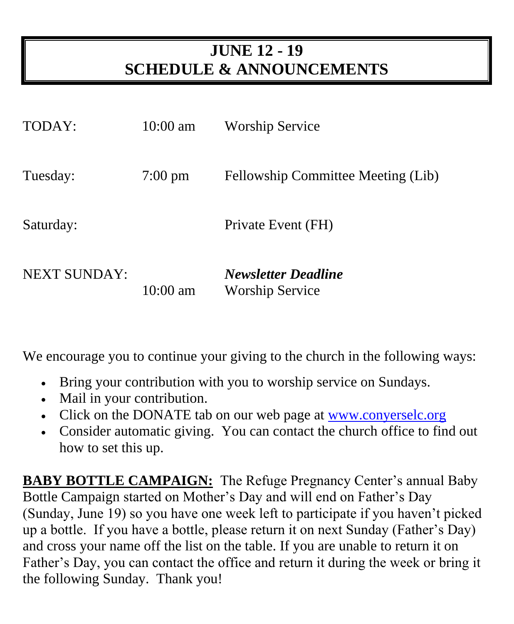# **JUNE 12 - 19 SCHEDULE & ANNOUNCEMENTS**

| TODAY:              | $10:00$ am         | <b>Worship Service</b>                               |
|---------------------|--------------------|------------------------------------------------------|
| Tuesday:            | $7:00 \text{ pm}$  | Fellowship Committee Meeting (Lib)                   |
| Saturday:           |                    | Private Event (FH)                                   |
| <b>NEXT SUNDAY:</b> | $10:00 \text{ am}$ | <b>Newsletter Deadline</b><br><b>Worship Service</b> |

We encourage you to continue your giving to the church in the following ways:

- Bring your contribution with you to worship service on Sundays.
- Mail in your contribution.
- Click on the DONATE tab on our web page at www.converselc.org
- Consider automatic giving. You can contact the church office to find out how to set this up.

**BABY BOTTLE CAMPAIGN:** The Refuge Pregnancy Center's annual Baby Bottle Campaign started on Mother's Day and will end on Father's Day (Sunday, June 19) so you have one week left to participate if you haven't picked up a bottle. If you have a bottle, please return it on next Sunday (Father's Day) and cross your name off the list on the table. If you are unable to return it on Father's Day, you can contact the office and return it during the week or bring it the following Sunday. Thank you!